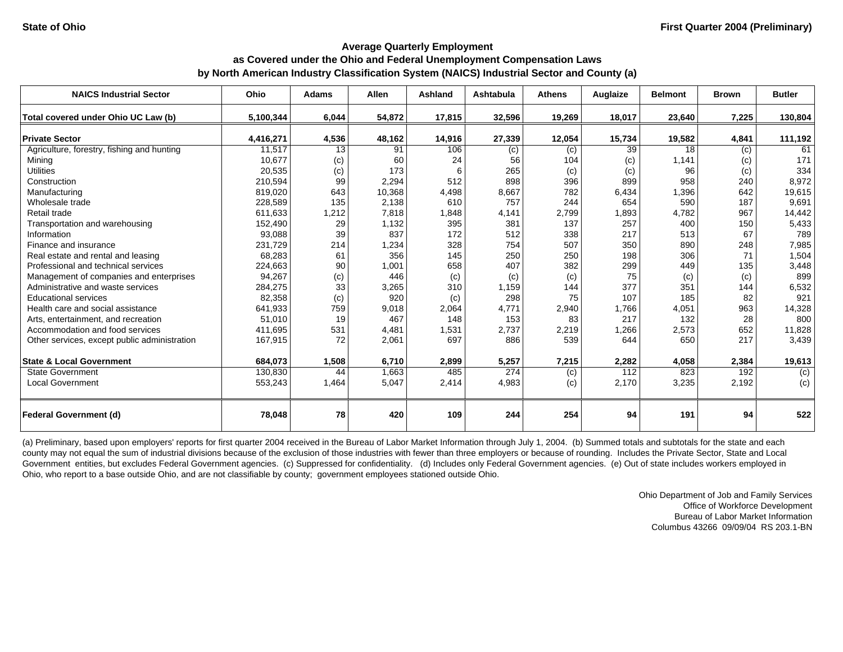| <b>NAICS Industrial Sector</b>               | Ohio      | <b>Adams</b> | <b>Allen</b> | Ashland | Ashtabula | <b>Athens</b> | Auglaize | <b>Belmont</b> | <b>Brown</b> | <b>Butler</b> |
|----------------------------------------------|-----------|--------------|--------------|---------|-----------|---------------|----------|----------------|--------------|---------------|
| Total covered under Ohio UC Law (b)          | 5,100,344 | 6,044        | 54,872       | 17,815  | 32,596    | 19,269        | 18,017   | 23,640         | 7,225        | 130,804       |
| <b>Private Sector</b>                        | 4,416,271 | 4,536        | 48,162       | 14,916  | 27,339    | 12,054        | 15,734   | 19,582         | 4,841        | 111,192       |
| Agriculture, forestry, fishing and hunting   | 11,517    | 13           | 91           | 106     | (c)       | (c)           | 39       | 18             | (c)          | 61            |
| Mining                                       | 10,677    | (c)          | 60           | 24      | 56        | 104           | (c)      | 1,141          | (c)          | 171           |
| <b>Utilities</b>                             | 20,535    | (c)          | 173          | 6       | 265       | (c)           | (c)      | 96             | (c)          | 334           |
| Construction                                 | 210,594   | 99           | 2,294        | 512     | 898       | 396           | 899      | 958            | 240          | 8,972         |
| Manufacturing                                | 819,020   | 643          | 10,368       | 4,498   | 8,667     | 782           | 6,434    | 1,396          | 642          | 19,615        |
| Wholesale trade                              | 228,589   | 135          | 2,138        | 610     | 757       | 244           | 654      | 590            | 187          | 9,691         |
| Retail trade                                 | 611,633   | 1,212        | 7,818        | 1,848   | 4,141     | 2,799         | 1,893    | 4,782          | 967          | 14,442        |
| Transportation and warehousing               | 152,490   | 29           | 1,132        | 395     | 381       | 137           | 257      | 400            | 150          | 5,433         |
| Information                                  | 93,088    | 39           | 837          | 172     | 512       | 338           | 217      | 513            | 67           | 789           |
| Finance and insurance                        | 231,729   | 214          | 1,234        | 328     | 754       | 507           | 350      | 890            | 248          | 7,985         |
| Real estate and rental and leasing           | 68,283    | 61           | 356          | 145     | 250       | 250           | 198      | 306            | 71           | 1,504         |
| Professional and technical services          | 224,663   | 90           | 1,001        | 658     | 407       | 382           | 299      | 449            | 135          | 3,448         |
| Management of companies and enterprises      | 94,267    | (c)          | 446          | (c)     | (c)       | (c)           | 75       | (c)            | (c)          | 899           |
| Administrative and waste services            | 284,275   | 33           | 3,265        | 310     | 1,159     | 144           | 377      | 351            | 144          | 6,532         |
| <b>Educational services</b>                  | 82,358    | (c)          | 920          | (c)     | 298       | 75            | 107      | 185            | 82           | 921           |
| Health care and social assistance            | 641,933   | 759          | 9,018        | 2,064   | 4,771     | 2,940         | 1,766    | 4,051          | 963          | 14,328        |
| Arts, entertainment, and recreation          | 51,010    | 19           | 467          | 148     | 153       | 83            | 217      | 132            | 28           | 800           |
| Accommodation and food services              | 411.695   | 531          | 4,481        | 1,531   | 2,737     | 2,219         | 1,266    | 2,573          | 652          | 11,828        |
| Other services, except public administration | 167,915   | 72           | 2,061        | 697     | 886       | 539           | 644      | 650            | 217          | 3,439         |
|                                              |           |              |              |         |           |               |          |                |              |               |
| <b>State &amp; Local Government</b>          | 684,073   | 1,508        | 6,710        | 2,899   | 5,257     | 7,215         | 2,282    | 4,058          | 2,384        | 19,613        |
| <b>State Government</b>                      | 130,830   | 44           | 1,663        | 485     | 274       | (c)           | 112      | 823            | 192          | (c)           |
| <b>Local Government</b>                      | 553,243   | 1,464        | 5,047        | 2,414   | 4,983     | (c)           | 2,170    | 3,235          | 2,192        | (c)           |
| <b>Federal Government (d)</b>                | 78,048    | 78           | 420          | 109     | 244       | 254           | 94       | 191            | 94           | 522           |
|                                              |           |              |              |         |           |               |          |                |              |               |

(a) Preliminary, based upon employers' reports for first quarter 2004 received in the Bureau of Labor Market Information through July 1, 2004. (b) Summed totals and subtotals for the state and each county may not equal the sum of industrial divisions because of the exclusion of those industries with fewer than three employers or because of rounding. Includes the Private Sector, State and Local Government entities, but excludes Federal Government agencies. (c) Suppressed for confidentiality. (d) Includes only Federal Government agencies. (e) Out of state includes workers employed in Ohio, who report to a base outside Ohio, and are not classifiable by county; government employees stationed outside Ohio.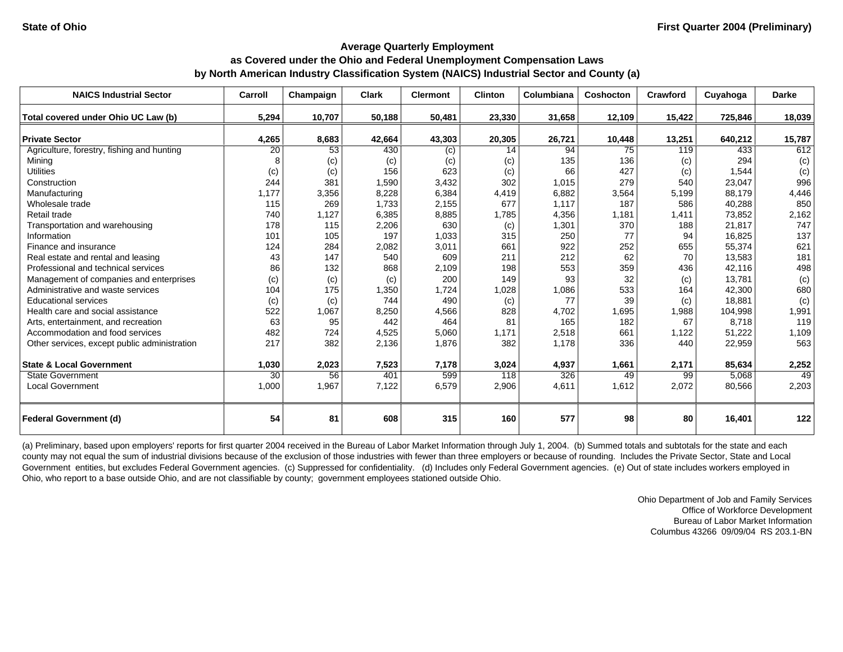| <b>NAICS Industrial Sector</b>               | Carroll | Champaign | <b>Clark</b> | <b>Clermont</b> | <b>Clinton</b> | Columbiana | Coshocton | Crawford | Cuyahoga | <b>Darke</b> |
|----------------------------------------------|---------|-----------|--------------|-----------------|----------------|------------|-----------|----------|----------|--------------|
| Total covered under Ohio UC Law (b)          | 5.294   | 10,707    | 50,188       | 50,481          | 23,330         | 31,658     | 12,109    | 15,422   | 725,846  | 18,039       |
| <b>Private Sector</b>                        | 4,265   | 8,683     | 42,664       | 43,303          | 20,305         | 26,721     | 10,448    | 13,251   | 640,212  | 15,787       |
| Agriculture, forestry, fishing and hunting   | 20      | 53        | 430          | (c)             | 14             | 94         | 75        | 119      | 433      | 612          |
| Mining                                       | 8       | (c)       | (c)          | (c)             | (c)            | 135        | 136       | (c)      | 294      | (c)          |
| <b>Utilities</b>                             | (c)     | (c)       | 156          | 623             | (c)            | 66         | 427       | (c)      | 1,544    | (c)          |
| Construction                                 | 244     | 381       | 1,590        | 3,432           | 302            | 1,015      | 279       | 540      | 23,047   | 996          |
| Manufacturing                                | 1,177   | 3,356     | 8,228        | 6,384           | 4,419          | 6,882      | 3,564     | 5,199    | 88.179   | 4,446        |
| Wholesale trade                              | 115     | 269       | 1.733        | 2,155           | 677            | 1,117      | 187       | 586      | 40,288   | 850          |
| Retail trade                                 | 740     | 1,127     | 6,385        | 8,885           | 1,785          | 4,356      | 1,181     | 1,411    | 73,852   | 2,162        |
| Transportation and warehousing               | 178     | 115       | 2,206        | 630             | (c)            | 1,301      | 370       | 188      | 21,817   | 747          |
| Information                                  | 101     | 105       | 197          | 1,033           | 315            | 250        | 77        | 94       | 16,825   | 137          |
| Finance and insurance                        | 124     | 284       | 2,082        | 3,011           | 661            | 922        | 252       | 655      | 55,374   | 621          |
| Real estate and rental and leasing           | 43      | 147       | 540          | 609             | 211            | 212        | 62        | 70       | 13,583   | 181          |
| Professional and technical services          | 86      | 132       | 868          | 2,109           | 198            | 553        | 359       | 436      | 42,116   | 498          |
| Management of companies and enterprises      | (c)     | (c)       | (c)          | 200             | 149            | 93         | 32        | (c)      | 13,781   | (c)          |
| Administrative and waste services            | 104     | 175       | 1,350        | 1,724           | 1,028          | 1,086      | 533       | 164      | 42,300   | 680          |
| <b>Educational services</b>                  | (c)     | (c)       | 744          | 490             | (c)            | 77         | 39        | (c)      | 18.881   | (c)          |
| Health care and social assistance            | 522     | 1,067     | 8,250        | 4,566           | 828            | 4,702      | 1,695     | 1,988    | 104,998  | 1,991        |
| Arts, entertainment, and recreation          | 63      | 95        | 442          | 464             | 81             | 165        | 182       | 67       | 8.718    | 119          |
| Accommodation and food services              | 482     | 724       | 4,525        | 5,060           | 1.171          | 2,518      | 661       | 1,122    | 51,222   | 1,109        |
| Other services, except public administration | 217     | 382       | 2,136        | 1,876           | 382            | 1,178      | 336       | 440      | 22,959   | 563          |
| <b>State &amp; Local Government</b>          | 1,030   | 2,023     | 7,523        | 7,178           | 3,024          | 4,937      | 1,661     | 2,171    | 85,634   | 2,252        |
| <b>State Government</b>                      | 30      | 56        | 401          | 599             | 118            | 326        | 49        | 99       | 5,068    | 49           |
| <b>Local Government</b>                      | 1,000   | 1,967     | 7,122        | 6,579           | 2,906          | 4,611      | 1,612     | 2,072    | 80,566   | 2,203        |
| <b>Federal Government (d)</b>                | 54      | 81        | 608          | 315             | 160            | 577        | 98        | 80       | 16,401   | 122          |

(a) Preliminary, based upon employers' reports for first quarter 2004 received in the Bureau of Labor Market Information through July 1, 2004. (b) Summed totals and subtotals for the state and each county may not equal the sum of industrial divisions because of the exclusion of those industries with fewer than three employers or because of rounding. Includes the Private Sector, State and Local Government entities, but excludes Federal Government agencies. (c) Suppressed for confidentiality. (d) Includes only Federal Government agencies. (e) Out of state includes workers employed in Ohio, who report to a base outside Ohio, and are not classifiable by county; government employees stationed outside Ohio.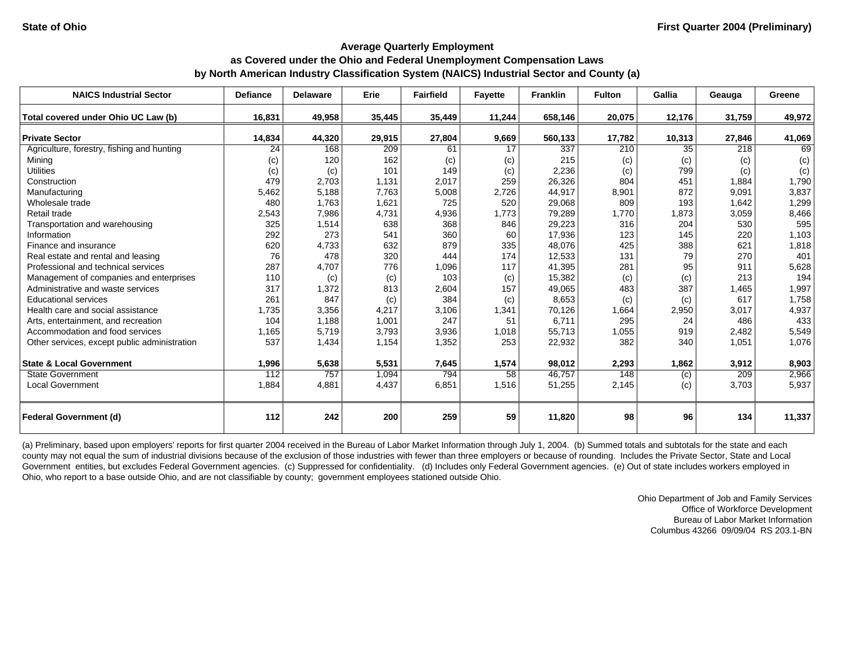| <b>NAICS Industrial Sector</b>               | <b>Defiance</b> | <b>Delaware</b> | Erie   | <b>Fairfield</b> | Fayette | <b>Franklin</b> | <b>Fulton</b> | Gallia | Geauga | Greene |
|----------------------------------------------|-----------------|-----------------|--------|------------------|---------|-----------------|---------------|--------|--------|--------|
| Total covered under Ohio UC Law (b)          | 16,831          | 49,958          | 35,445 | 35,449           | 11,244  | 658,146         | 20,075        | 12,176 | 31,759 | 49,972 |
| <b>Private Sector</b>                        | 14,834          | 44,320          | 29,915 | 27,804           | 9,669   | 560,133         | 17,782        | 10,313 | 27,846 | 41,069 |
| Agriculture, forestry, fishing and hunting   | 24              | 168             | 209    | 61               | 17      | 337             | 210           | 35     | 218    | 69     |
| Mining                                       | (c)             | 120             | 162    | (c)              | (c)     | 215             | (c)           | (c)    | (c)    | (c)    |
| <b>Utilities</b>                             | (c)             | (c)             | 101    | 149              | (c)     | 2,236           | (c)           | 799    | (c)    | (c)    |
| Construction                                 | 479             | 2,703           | 1,131  | 2,017            | 259     | 26,326          | 804           | 451    | 1,884  | 1,790  |
| Manufacturing                                | 5,462           | 5,188           | 7,763  | 5,008            | 2,726   | 44,917          | 8,901         | 872    | 9,091  | 3,837  |
| Wholesale trade                              | 480             | 1,763           | 1,621  | 725              | 520     | 29,068          | 809           | 193    | 1,642  | 1,299  |
| Retail trade                                 | 2,543           | 7,986           | 4,731  | 4,936            | 1,773   | 79,289          | 1,770         | 1,873  | 3,059  | 8,466  |
| Transportation and warehousing               | 325             | 1,514           | 638    | 368              | 846     | 29,223          | 316           | 204    | 530    | 595    |
| Information                                  | 292             | 273             | 541    | 360              | 60      | 17,936          | 123           | 145    | 220    | 1,103  |
| Finance and insurance                        | 620             | 4,733           | 632    | 879              | 335     | 48,076          | 425           | 388    | 621    | 1,818  |
| Real estate and rental and leasing           | 76              | 478             | 320    | 444              | 174     | 12,533          | 131           | 79     | 270    | 401    |
| Professional and technical services          | 287             | 4,707           | 776    | 1,096            | 117     | 41,395          | 281           | 95     | 911    | 5,628  |
| Management of companies and enterprises      | 110             | (c)             | (c)    | 103              | (c)     | 15,382          | (c)           | (c)    | 213    | 194    |
| Administrative and waste services            | 317             | 1,372           | 813    | 2,604            | 157     | 49,065          | 483           | 387    | 1,465  | 1,997  |
| <b>Educational services</b>                  | 261             | 847             | (c)    | 384              | (c)     | 8,653           | (c)           | (c)    | 617    | 1,758  |
| Health care and social assistance            | 1,735           | 3,356           | 4,217  | 3,106            | 1,341   | 70,126          | 1,664         | 2,950  | 3,017  | 4,937  |
| Arts, entertainment, and recreation          | 104             | 1,188           | 1,001  | 247              | 51      | 6,711           | 295           | 24     | 486    | 433    |
| Accommodation and food services              | 1,165           | 5,719           | 3,793  | 3,936            | 1,018   | 55,713          | 1,055         | 919    | 2,482  | 5,549  |
| Other services, except public administration | 537             | 1,434           | 1,154  | 1,352            | 253     | 22,932          | 382           | 340    | 1,051  | 1,076  |
| <b>State &amp; Local Government</b>          | 1,996           | 5,638           | 5,531  | 7,645            | 1,574   | 98,012          | 2,293         | 1,862  | 3,912  | 8,903  |
| <b>State Government</b>                      | 112             | 757             | 1.094  | 794              | 58      | 46,757          | 148           | (c)    | 209    | 2,966  |
| <b>Local Government</b>                      | 1,884           | 4,881           | 4,437  | 6,851            | 1,516   | 51,255          | 2,145         | (c)    | 3,703  | 5,937  |
| <b>Federal Government (d)</b>                | 112             | 242             | 200    | 259              | 59      | 11,820          | 98            | 96     | 134    | 11,337 |

(a) Preliminary, based upon employers' reports for first quarter 2004 received in the Bureau of Labor Market Information through July 1, 2004. (b) Summed totals and subtotals for the state and each county may not equal the sum of industrial divisions because of the exclusion of those industries with fewer than three employers or because of rounding. Includes the Private Sector, State and Local Government entities, but excludes Federal Government agencies. (c) Suppressed for confidentiality. (d) Includes only Federal Government agencies. (e) Out of state includes workers employed in Ohio, who report to a base outside Ohio, and are not classifiable by county; government employees stationed outside Ohio.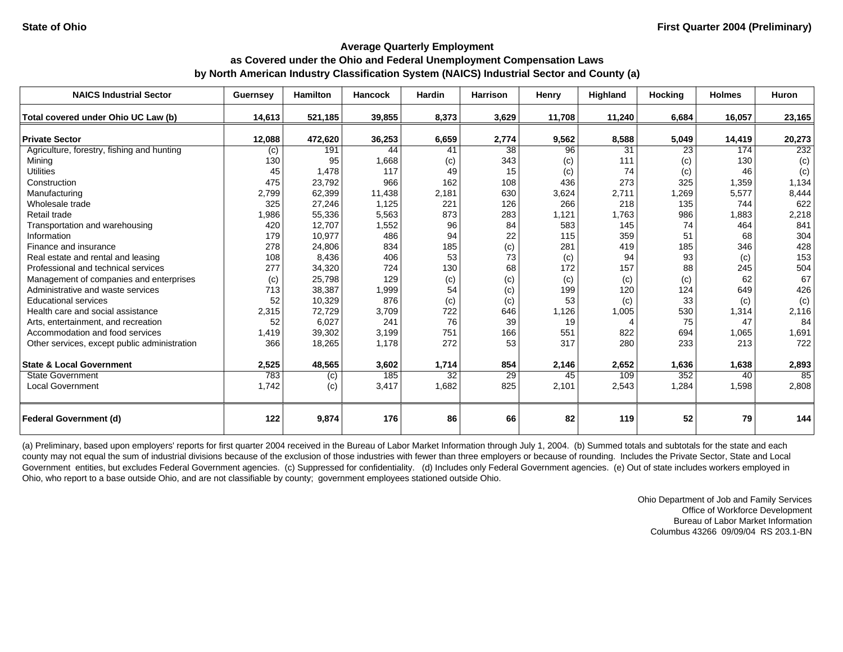| <b>NAICS Industrial Sector</b>               | <b>Guernsey</b> | <b>Hamilton</b> | <b>Hancock</b> | <b>Hardin</b> | <b>Harrison</b> | Henry  | <b>Highland</b> | <b>Hocking</b> | <b>Holmes</b> | <b>Huron</b> |
|----------------------------------------------|-----------------|-----------------|----------------|---------------|-----------------|--------|-----------------|----------------|---------------|--------------|
| Total covered under Ohio UC Law (b)          | 14.613          | 521,185         | 39,855         | 8,373         | 3,629           | 11,708 | 11,240          | 6,684          | 16,057        | 23,165       |
| <b>Private Sector</b>                        | 12,088          | 472,620         | 36,253         | 6,659         | 2,774           | 9,562  | 8,588           | 5,049          | 14,419        | 20,273       |
| Agriculture, forestry, fishing and hunting   | (c)             | 191             | 44             | 41            | 38              | 96     | 31              | 23             | 174           | 232          |
| Mining                                       | 130             | 95              | 1,668          | (c)           | 343             | (c)    | 111             | (c)            | 130           | (c)          |
| <b>Utilities</b>                             | 45              | 1,478           | 117            | 49            | 15              | (c)    | 74              | (c)            | 46            | (c)          |
| Construction                                 | 475             | 23,792          | 966            | 162           | 108             | 436    | 273             | 325            | 1,359         | 1,134        |
| Manufacturing                                | 2,799           | 62,399          | 11,438         | 2,181         | 630             | 3,624  | 2,711           | 1,269          | 5,577         | 8,444        |
| Wholesale trade                              | 325             | 27,246          | 1,125          | 221           | 126             | 266    | 218             | 135            | 744           | 622          |
| Retail trade                                 | 1,986           | 55,336          | 5,563          | 873           | 283             | 1,121  | 1,763           | 986            | 1,883         | 2,218        |
| Transportation and warehousing               | 420             | 12,707          | 1,552          | 96            | 84              | 583    | 145             | 74             | 464           | 841          |
| Information                                  | 179             | 10,977          | 486            | 94            | 22              | 115    | 359             | 51             | 68            | 304          |
| Finance and insurance                        | 278             | 24,806          | 834            | 185           | (c)             | 281    | 419             | 185            | 346           | 428          |
| Real estate and rental and leasing           | 108             | 8,436           | 406            | 53            | 73              | (c)    | 94              | 93             | (c)           | 153          |
| Professional and technical services          | 277             | 34,320          | 724            | 130           | 68              | 172    | 157             | 88             | 245           | 504          |
| Management of companies and enterprises      | (c)             | 25,798          | 129            | (c)           | (c)             | (c)    | (c)             | (c)            | 62            | 67           |
| Administrative and waste services            | 713             | 38,387          | 1,999          | 54            | (c)             | 199    | 120             | 124            | 649           | 426          |
| <b>Educational services</b>                  | 52              | 10,329          | 876            | (c)           | (c)             | 53     | (c)             | 33             | (c)           | (c)          |
| Health care and social assistance            | 2,315           | 72,729          | 3,709          | 722           | 646             | 1,126  | 1,005           | 530            | 1,314         | 2,116        |
| Arts, entertainment, and recreation          | 52              | 6,027           | 241            | 76            | 39              | 19     |                 | 75             | 47            | 84           |
| Accommodation and food services              | 1,419           | 39,302          | 3,199          | 751           | 166             | 551    | 822             | 694            | 1,065         | 1,691        |
| Other services, except public administration | 366             | 18,265          | 1,178          | 272           | 53              | 317    | 280             | 233            | 213           | 722          |
| <b>State &amp; Local Government</b>          | 2,525           | 48,565          | 3,602          | 1,714         | 854             | 2,146  | 2,652           | 1,636          | 1,638         | 2,893        |
| <b>State Government</b>                      | 783             | (c)             | 185            | 32            | 29              | 45     | 109             | 352            | 40            | 85           |
| <b>Local Government</b>                      | 1,742           | (c)             | 3,417          | 1,682         | 825             | 2,101  | 2,543           | 1,284          | 1,598         | 2,808        |
| <b>Federal Government (d)</b>                | 122             | 9,874           | 176            | 86            | 66              | 82     | 119             | 52             | 79            | 144          |

(a) Preliminary, based upon employers' reports for first quarter 2004 received in the Bureau of Labor Market Information through July 1, 2004. (b) Summed totals and subtotals for the state and each county may not equal the sum of industrial divisions because of the exclusion of those industries with fewer than three employers or because of rounding. Includes the Private Sector, State and Local Government entities, but excludes Federal Government agencies. (c) Suppressed for confidentiality. (d) Includes only Federal Government agencies. (e) Out of state includes workers employed in Ohio, who report to a base outside Ohio, and are not classifiable by county; government employees stationed outside Ohio.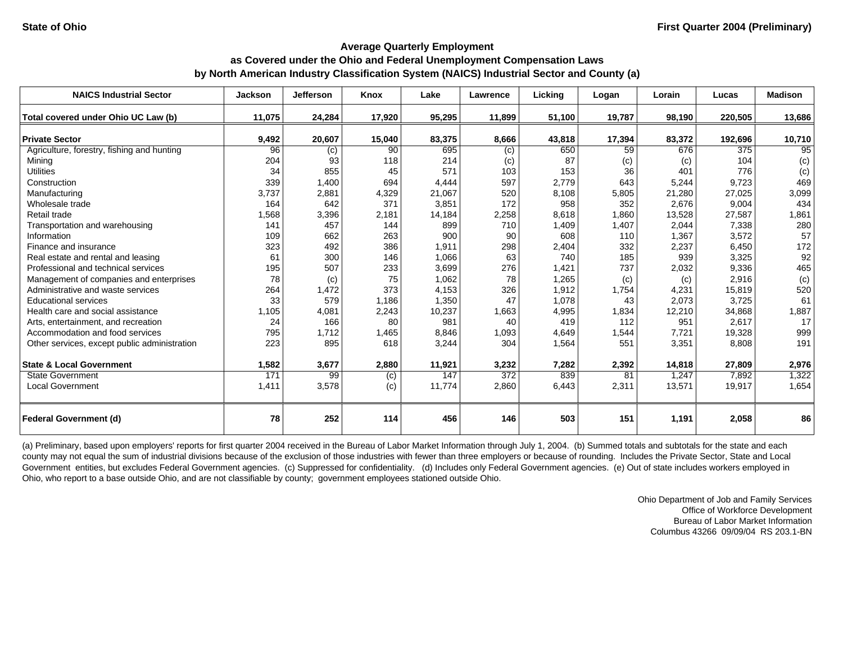| <b>NAICS Industrial Sector</b>               | <b>Jackson</b>  | <b>Jefferson</b> | Knox   | Lake   | Lawrence | Lickina | Logan  | Lorain | Lucas   | <b>Madison</b> |
|----------------------------------------------|-----------------|------------------|--------|--------|----------|---------|--------|--------|---------|----------------|
| Total covered under Ohio UC Law (b)          | 11.075          | 24,284           | 17,920 | 95,295 | 11,899   | 51,100  | 19,787 | 98,190 | 220,505 | 13,686         |
| <b>Private Sector</b>                        | 9,492           | 20,607           | 15,040 | 83,375 | 8,666    | 43,818  | 17,394 | 83,372 | 192,696 | 10,710         |
| Agriculture, forestry, fishing and hunting   | $\overline{96}$ | (c)              | 90     | 695    | (c)      | 650     | 59     | 676    | 375     | 95             |
| Mining                                       | 204             | 93               | 118    | 214    | (c)      | 87      | (c)    | (c)    | 104     | (c)            |
| <b>Utilities</b>                             | 34              | 855              | 45     | 571    | 103      | 153     | 36     | 401    | 776     | (c)            |
| Construction                                 | 339             | 1,400            | 694    | 4,444  | 597      | 2,779   | 643    | 5,244  | 9,723   | 469            |
| Manufacturing                                | 3,737           | 2,881            | 4,329  | 21,067 | 520      | 8,108   | 5,805  | 21,280 | 27,025  | 3,099          |
| Wholesale trade                              | 164             | 642              | 371    | 3.851  | 172      | 958     | 352    | 2,676  | 9,004   | 434            |
| Retail trade                                 | 1,568           | 3,396            | 2,181  | 14,184 | 2,258    | 8,618   | 1.860  | 13,528 | 27,587  | 1,861          |
| Transportation and warehousing               | 141             | 457              | 144    | 899    | 710      | 1,409   | 1,407  | 2,044  | 7,338   | 280            |
| Information                                  | 109             | 662              | 263    | 900    | 90       | 608     | 110    | 1,367  | 3,572   | 57             |
| Finance and insurance                        | 323             | 492              | 386    | 1,911  | 298      | 2,404   | 332    | 2,237  | 6,450   | 172            |
| Real estate and rental and leasing           | 61              | 300              | 146    | 1,066  | 63       | 740     | 185    | 939    | 3,325   | 92             |
| Professional and technical services          | 195             | 507              | 233    | 3,699  | 276      | 1,421   | 737    | 2,032  | 9,336   | 465            |
| Management of companies and enterprises      | 78              | (c)              | 75     | 1,062  | 78       | 1,265   | (c)    | (c)    | 2,916   | (c)            |
| Administrative and waste services            | 264             | 1,472            | 373    | 4,153  | 326      | 1,912   | 1,754  | 4,231  | 15,819  | 520            |
| <b>Educational services</b>                  | 33              | 579              | 1.186  | 1,350  | 47       | 1,078   | 43     | 2,073  | 3,725   | 61             |
| Health care and social assistance            | 1,105           | 4,081            | 2,243  | 10,237 | 1,663    | 4,995   | 1,834  | 12,210 | 34,868  | 1,887          |
| Arts, entertainment, and recreation          | 24              | 166              | 80     | 981    | 40       | 419     | 112    | 951    | 2,617   | 17             |
| Accommodation and food services              | 795             | 1,712            | 1,465  | 8,846  | 1,093    | 4,649   | 1,544  | 7,721  | 19,328  | 999            |
| Other services, except public administration | 223             | 895              | 618    | 3,244  | 304      | 1,564   | 551    | 3,351  | 8,808   | 191            |
| <b>State &amp; Local Government</b>          | 1,582           | 3,677            | 2,880  | 11,921 | 3,232    | 7,282   | 2,392  | 14,818 | 27,809  | 2,976          |
| <b>State Government</b>                      | 171             | 99               | (c)    | 147    | 372      | 839     | 81     | 1,247  | 7.892   | 1,322          |
| <b>Local Government</b>                      | 1,411           | 3,578            | (c)    | 11,774 | 2,860    | 6,443   | 2,311  | 13,571 | 19,917  | 1,654          |
| <b>Federal Government (d)</b>                | 78              | 252              | 114    | 456    | 146      | 503     | 151    | 1,191  | 2,058   | 86             |

(a) Preliminary, based upon employers' reports for first quarter 2004 received in the Bureau of Labor Market Information through July 1, 2004. (b) Summed totals and subtotals for the state and each county may not equal the sum of industrial divisions because of the exclusion of those industries with fewer than three employers or because of rounding. Includes the Private Sector, State and Local Government entities, but excludes Federal Government agencies. (c) Suppressed for confidentiality. (d) Includes only Federal Government agencies. (e) Out of state includes workers employed in Ohio, who report to a base outside Ohio, and are not classifiable by county; government employees stationed outside Ohio.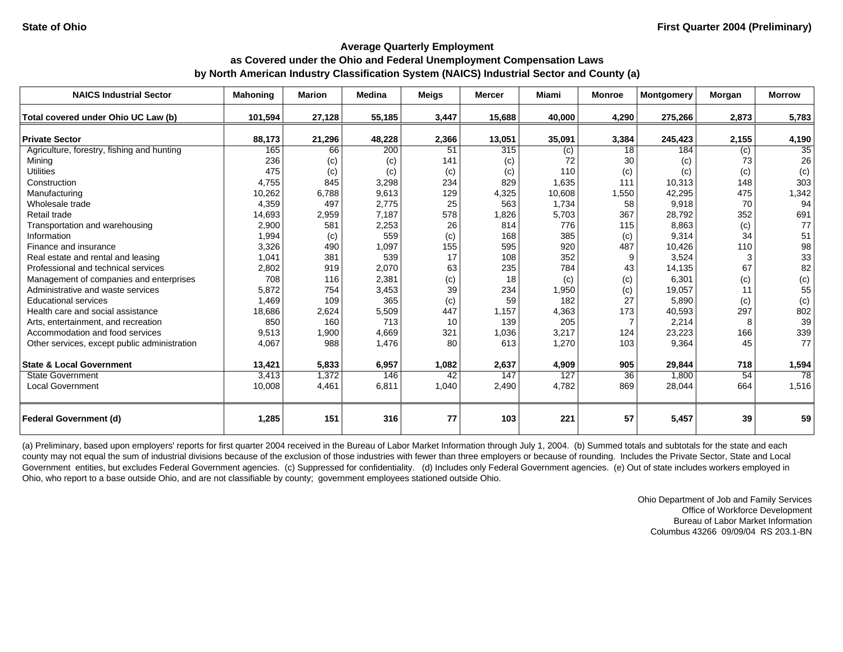| <b>NAICS Industrial Sector</b>               | <b>Mahoning</b> | <b>Marion</b> | <b>Medina</b> | <b>Meigs</b> | <b>Mercer</b> | Miami  | <b>Monroe</b>   | <b>Montgomery</b> | Morgan | <b>Morrow</b> |
|----------------------------------------------|-----------------|---------------|---------------|--------------|---------------|--------|-----------------|-------------------|--------|---------------|
| Total covered under Ohio UC Law (b)          | 101,594         | 27,128        | 55,185        | 3,447        | 15,688        | 40,000 | 4,290           | 275,266           | 2,873  | 5,783         |
|                                              |                 |               |               |              |               |        |                 |                   |        |               |
| <b>Private Sector</b>                        | 88,173          | 21,296        | 48,228        | 2,366        | 13,051        | 35,091 | 3,384           | 245,423           | 2,155  | 4,190         |
| Agriculture, forestry, fishing and hunting   | 165             | 66            | 200           | 51           | 315           | (c)    | 18              | 184               | (c)    | 35            |
| Mining                                       | 236             | (c)           | (c)           | 141          | (c)           | 72     | 30              | (c)               | 73     | 26            |
| <b>Utilities</b>                             | 475             | (c)           | (c)           | (c)          | (c)           | 110    | (c)             | (c)               | (c)    | (c)           |
| Construction                                 | 4,755           | 845           | 3,298         | 234          | 829           | 1,635  | 111             | 10,313            | 148    | 303           |
| Manufacturing                                | 10,262          | 6,788         | 9,613         | 129          | 4,325         | 10,608 | 1,550           | 42,295            | 475    | 1,342         |
| Wholesale trade                              | 4,359           | 497           | 2,775         | 25           | 563           | 1,734  | 58              | 9,918             | 70     | 94            |
| Retail trade                                 | 14,693          | 2,959         | 7,187         | 578          | 1,826         | 5,703  | 367             | 28,792            | 352    | 691           |
| Transportation and warehousing               | 2,900           | 581           | 2,253         | 26           | 814           | 776    | 115             | 8,863             | (c)    | 77            |
| Information                                  | 1,994           | (c)           | 559           | (c)          | 168           | 385    | (c)             | 9,314             | 34     | 51            |
| Finance and insurance                        | 3,326           | 490           | 1,097         | 155          | 595           | 920    | 487             | 10,426            | 110    | 98            |
| Real estate and rental and leasing           | 1,041           | 381           | 539           | 17           | 108           | 352    | 9               | 3,524             |        | 33            |
| Professional and technical services          | 2,802           | 919           | 2,070         | 63           | 235           | 784    | 43              | 14.135            | 67     | 82            |
| Management of companies and enterprises      | 708             | 116           | 2,381         | (c)          | 18            | (c)    | (c)             | 6,301             | (c)    | (c)           |
| Administrative and waste services            | 5,872           | 754           | 3,453         | 39           | 234           | 1,950  | (c)             | 19,057            | 11     | 55            |
| <b>Educational services</b>                  | 1,469           | 109           | 365           | (c)          | 59            | 182    | 27              | 5,890             | (c)    | (c)           |
| Health care and social assistance            | 18,686          | 2,624         | 5,509         | 447          | 1,157         | 4,363  | 173             | 40,593            | 297    | 802           |
| Arts, entertainment, and recreation          | 850             | 160           | 713           | 10           | 139           | 205    |                 | 2,214             | 8      | 39            |
| Accommodation and food services              | 9,513           | 1,900         | 4,669         | 321          | 1,036         | 3,217  | 124             | 23,223            | 166    | 339           |
| Other services, except public administration | 4,067           | 988           | 1,476         | 80           | 613           | 1,270  | 103             | 9,364             | 45     | 77            |
| <b>State &amp; Local Government</b>          | 13,421          | 5,833         | 6,957         | 1.082        | 2,637         | 4,909  | 905             | 29,844            | 718    | 1,594         |
| <b>State Government</b>                      | 3,413           | 1,372         | 146           | 42           | 147           | 127    | $\overline{36}$ | 1,800             | 54     | 78            |
| <b>Local Government</b>                      | 10,008          | 4,461         | 6,811         | 1,040        | 2,490         | 4,782  | 869             | 28,044            | 664    | 1,516         |
| <b>Federal Government (d)</b>                | 1,285           | 151           | 316           | 77           | 103           | 221    | 57              | 5,457             | 39     | 59            |

(a) Preliminary, based upon employers' reports for first quarter 2004 received in the Bureau of Labor Market Information through July 1, 2004. (b) Summed totals and subtotals for the state and each county may not equal the sum of industrial divisions because of the exclusion of those industries with fewer than three employers or because of rounding. Includes the Private Sector, State and Local Government entities, but excludes Federal Government agencies. (c) Suppressed for confidentiality. (d) Includes only Federal Government agencies. (e) Out of state includes workers employed in Ohio, who report to a base outside Ohio, and are not classifiable by county; government employees stationed outside Ohio.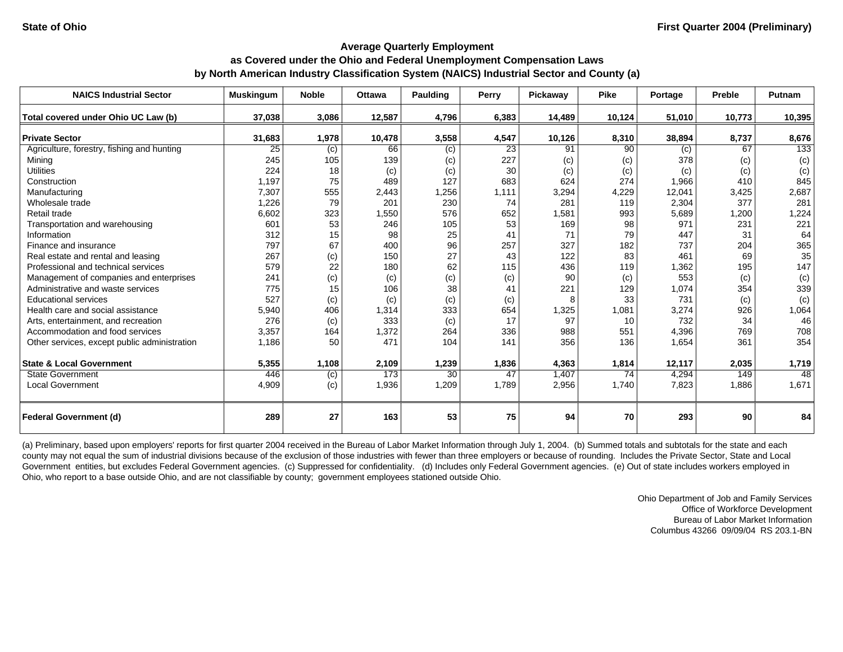| <b>NAICS Industrial Sector</b>               | <b>Muskingum</b> | <b>Noble</b> | <b>Ottawa</b> | Paulding | Perry | Pickawav | <b>Pike</b> | Portage | Preble | <b>Putnam</b>    |
|----------------------------------------------|------------------|--------------|---------------|----------|-------|----------|-------------|---------|--------|------------------|
| Total covered under Ohio UC Law (b)          | 37,038           | 3,086        | 12,587        | 4,796    | 6,383 | 14,489   | 10,124      | 51,010  | 10,773 | 10,395           |
| <b>Private Sector</b>                        | 31,683           | 1,978        | 10,478        | 3,558    | 4,547 | 10,126   | 8,310       | 38,894  | 8,737  | 8,676            |
| Agriculture, forestry, fishing and hunting   | 25               | (c)          | 66            | (c)      | 23    | 91       | 90          | (c)     | 67     | $\overline{133}$ |
| Mining                                       | 245              | 105          | 139           | (c)      | 227   | (c)      | (c)         | 378     | (c)    | (c)              |
| <b>Utilities</b>                             | 224              | 18           | (c)           | (c)      | 30    | (c)      | (c)         | (c)     | (c)    | (c)              |
| Construction                                 | 1,197            | 75           | 489           | 127      | 683   | 624      | 274         | 1,966   | 410    | 845              |
| Manufacturing                                | 7,307            | 555          | 2,443         | 1,256    | 1,111 | 3,294    | 4,229       | 12,041  | 3,425  | 2,687            |
| Wholesale trade                              | 1,226            | 79           | 201           | 230      | 74    | 281      | 119         | 2,304   | 377    | 281              |
| Retail trade                                 | 6,602            | 323          | 1,550         | 576      | 652   | 1,581    | 993         | 5,689   | 1,200  | 1,224            |
| Transportation and warehousing               | 601              | 53           | 246           | 105      | 53    | 169      | 98          | 971     | 231    | 221              |
| Information                                  | 312              | 15           | 98            | 25       | 41    | 71       | 79          | 447     | 31     | 64               |
| Finance and insurance                        | 797              | 67           | 400           | 96       | 257   | 327      | 182         | 737     | 204    | 365              |
| Real estate and rental and leasing           | 267              | (c)          | 150           | 27       | 43    | 122      | 83          | 461     | 69     | 35               |
| Professional and technical services          | 579              | 22           | 180           | 62       | 115   | 436      | 119         | 1,362   | 195    | 147              |
| Management of companies and enterprises      | 241              | (c)          | (c)           | (c)      | (c)   | 90       | (c)         | 553     | (c)    | (c)              |
| Administrative and waste services            | 775              | 15           | 106           | 38       | 41    | 221      | 129         | 1,074   | 354    | 339              |
| <b>Educational services</b>                  | 527              | (c)          | (c)           | (c)      | (c)   | 8        | 33          | 731     | (c)    | (c)              |
| Health care and social assistance            | 5,940            | 406          | 1,314         | 333      | 654   | 1,325    | 1,081       | 3,274   | 926    | 1,064            |
| Arts, entertainment, and recreation          | 276              | (c)          | 333           | (c)      | 17    | 97       | 10          | 732     | 34     | 46               |
| Accommodation and food services              | 3,357            | 164          | 1,372         | 264      | 336   | 988      | 551         | 4,396   | 769    | 708              |
| Other services, except public administration | 1,186            | 50           | 471           | 104      | 141   | 356      | 136         | 1,654   | 361    | 354              |
| <b>State &amp; Local Government</b>          | 5,355            | 1,108        | 2,109         | 1,239    | 1,836 | 4,363    | 1,814       | 12,117  | 2,035  | 1,719            |
| <b>State Government</b>                      | 446              | (c)          | 173           | 30       | 47    | 1,407    | 74          | 4,294   | 149    | 48               |
| <b>Local Government</b>                      | 4,909            | (c)          | 1,936         | 1,209    | 1,789 | 2,956    | 1,740       | 7,823   | 1,886  | 1,671            |
| <b>Federal Government (d)</b>                | 289              | 27           | 163           | 53       | 75    | 94       | 70          | 293     | 90     | 84               |

(a) Preliminary, based upon employers' reports for first quarter 2004 received in the Bureau of Labor Market Information through July 1, 2004. (b) Summed totals and subtotals for the state and each county may not equal the sum of industrial divisions because of the exclusion of those industries with fewer than three employers or because of rounding. Includes the Private Sector, State and Local Government entities, but excludes Federal Government agencies. (c) Suppressed for confidentiality. (d) Includes only Federal Government agencies. (e) Out of state includes workers employed in Ohio, who report to a base outside Ohio, and are not classifiable by county; government employees stationed outside Ohio.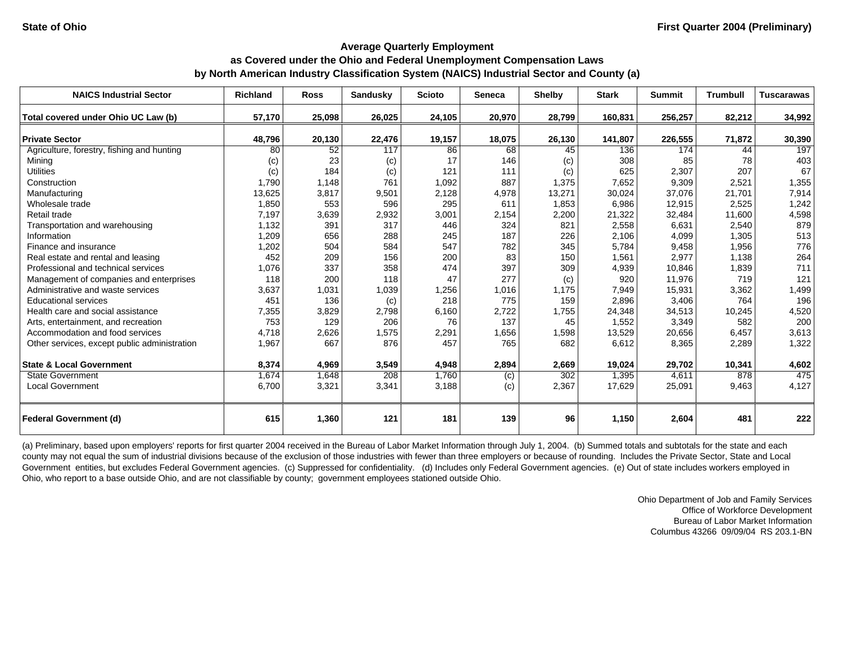| <b>NAICS Industrial Sector</b>               | <b>Richland</b> | <b>Ross</b> | Sandusky | <b>Scioto</b> | <b>Seneca</b> | <b>Shelby</b> | <b>Stark</b> | <b>Summit</b> | <b>Trumbull</b> | <b>Tuscarawas</b> |
|----------------------------------------------|-----------------|-------------|----------|---------------|---------------|---------------|--------------|---------------|-----------------|-------------------|
| Total covered under Ohio UC Law (b)          | 57,170          | 25,098      | 26,025   | 24,105        | 20,970        | 28,799        | 160,831      | 256,257       | 82,212          | 34,992            |
|                                              |                 |             |          |               |               |               |              |               |                 |                   |
| <b>Private Sector</b>                        | 48,796          | 20,130      | 22,476   | 19,157        | 18,075        | 26,130        | 141,807      | 226,555       | 71,872          | 30,390            |
| Agriculture, forestry, fishing and hunting   | 80              | 52          | 117      | 86            | 68            | 45            | 136          | 174           | 44              | 197               |
| Mining                                       | (c)             | 23          | (c)      | 17            | 146           | (c)           | 308          | 85            | 78              | 403               |
| <b>Utilities</b>                             | (c)             | 184         | (c)      | 121           | 111           | (c)           | 625          | 2,307         | 207             | 67                |
| Construction                                 | 1.790           | 1,148       | 761      | 1,092         | 887           | 1,375         | 7,652        | 9,309         | 2,521           | 1,355             |
| Manufacturing                                | 13,625          | 3,817       | 9,501    | 2,128         | 4,978         | 13,271        | 30,024       | 37,076        | 21,701          | 7,914             |
| Wholesale trade                              | 1,850           | 553         | 596      | 295           | 611           | 1,853         | 6,986        | 12,915        | 2,525           | 1,242             |
| Retail trade                                 | 7,197           | 3,639       | 2,932    | 3,001         | 2,154         | 2,200         | 21,322       | 32,484        | 11,600          | 4,598             |
| Transportation and warehousing               | 1,132           | 391         | 317      | 446           | 324           | 821           | 2,558        | 6,631         | 2,540           | 879               |
| Information                                  | 1,209           | 656         | 288      | 245           | 187           | 226           | 2,106        | 4,099         | 1,305           | 513               |
| Finance and insurance                        | 1,202           | 504         | 584      | 547           | 782           | 345           | 5,784        | 9,458         | 1,956           | 776               |
| Real estate and rental and leasing           | 452             | 209         | 156      | 200           | 83            | 150           | 1,561        | 2,977         | 1,138           | 264               |
| Professional and technical services          | 1,076           | 337         | 358      | 474           | 397           | 309           | 4,939        | 10,846        | 1,839           | 711               |
| Management of companies and enterprises      | 118             | 200         | 118      | 47            | 277           | (c)           | 920          | 11,976        | 719             | 121               |
| Administrative and waste services            | 3,637           | 1,031       | 1,039    | 1,256         | 1,016         | 1,175         | 7,949        | 15,931        | 3,362           | 1,499             |
| <b>Educational services</b>                  | 451             | 136         | (c)      | 218           | 775           | 159           | 2,896        | 3,406         | 764             | 196               |
| Health care and social assistance            | 7,355           | 3,829       | 2,798    | 6,160         | 2,722         | 1,755         | 24,348       | 34,513        | 10,245          | 4,520             |
| Arts, entertainment, and recreation          | 753             | 129         | 206      | 76            | 137           | 45            | 1,552        | 3,349         | 582             | 200               |
| Accommodation and food services              | 4,718           | 2,626       | 1,575    | 2,291         | 1,656         | 1,598         | 13,529       | 20,656        | 6,457           | 3,613             |
| Other services, except public administration | 1,967           | 667         | 876      | 457           | 765           | 682           | 6,612        | 8,365         | 2,289           | 1,322             |
| <b>State &amp; Local Government</b>          | 8,374           | 4,969       | 3,549    | 4,948         | 2,894         | 2,669         | 19,024       | 29,702        | 10,341          | 4,602             |
| <b>State Government</b>                      | 1,674           | 1,648       | 208      | 1.760         | (c)           | 302           | 1,395        | 4,611         | 878             | 475               |
| <b>Local Government</b>                      | 6,700           | 3,321       | 3,341    | 3,188         | (c)           | 2,367         | 17,629       | 25,091        | 9,463           | 4,127             |
| <b>Federal Government (d)</b>                | 615             | 1,360       | 121      | 181           | 139           | 96            | 1,150        | 2,604         | 481             | 222               |

(a) Preliminary, based upon employers' reports for first quarter 2004 received in the Bureau of Labor Market Information through July 1, 2004. (b) Summed totals and subtotals for the state and each county may not equal the sum of industrial divisions because of the exclusion of those industries with fewer than three employers or because of rounding. Includes the Private Sector, State and Local Government entities, but excludes Federal Government agencies. (c) Suppressed for confidentiality. (d) Includes only Federal Government agencies. (e) Out of state includes workers employed in Ohio, who report to a base outside Ohio, and are not classifiable by county; government employees stationed outside Ohio.